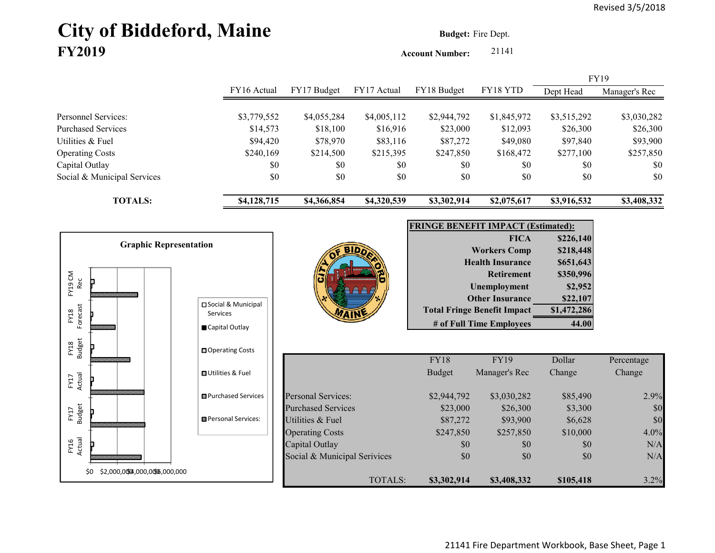# **City of Biddeford, Maine Budget:** Fire Dept. **FY2019**

**Account Number:** 21141

|                             |             |             |             |             |             |             | <b>FY19</b>   |
|-----------------------------|-------------|-------------|-------------|-------------|-------------|-------------|---------------|
|                             | FY16 Actual | FY17 Budget | FY17 Actual | FY18 Budget | FY18 YTD    | Dept Head   | Manager's Rec |
|                             |             |             |             |             |             |             |               |
| Personnel Services:         | \$3,779,552 | \$4,055,284 | \$4,005,112 | \$2,944,792 | \$1,845,972 | \$3,515,292 | \$3,030,282   |
| <b>Purchased Services</b>   | \$14,573    | \$18,100    | \$16,916    | \$23,000    | \$12,093    | \$26,300    | \$26,300      |
| Utilities & Fuel            | \$94,420    | \$78,970    | \$83,116    | \$87,272    | \$49,080    | \$97,840    | \$93,900      |
| <b>Operating Costs</b>      | \$240,169   | \$214,500   | \$215,395   | \$247,850   | \$168,472   | \$277,100   | \$257,850     |
| Capital Outlay              | \$0         | \$0         | \$0         | \$0         | \$0         | \$0         | \$0           |
| Social & Municipal Services | \$0         | \$0         | \$0         | \$0         | \$0         | \$0         | \$0           |
| <b>TOTALS:</b>              | \$4,128,715 | \$4,366,854 | \$4,320,539 | \$3,302,914 | \$2,075,617 | \$3,916,532 | \$3,408,332   |

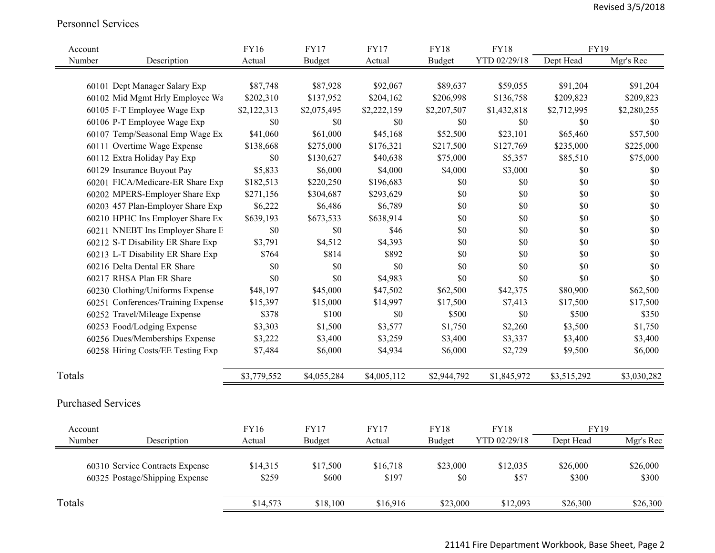#### Personnel Services

| Account                   |                                                                   | <b>FY16</b>       | <b>FY17</b>       | <b>FY17</b>       | <b>FY18</b>     | <b>FY18</b>      | <b>FY19</b>       |                   |
|---------------------------|-------------------------------------------------------------------|-------------------|-------------------|-------------------|-----------------|------------------|-------------------|-------------------|
| Number                    | Description                                                       | Actual            | <b>Budget</b>     | Actual            | <b>Budget</b>   | YTD 02/29/18     | Dept Head         | Mgr's Rec         |
|                           |                                                                   |                   |                   |                   |                 |                  |                   |                   |
|                           | 60101 Dept Manager Salary Exp                                     | \$87,748          | \$87,928          | \$92,067          | \$89,637        | \$59,055         | \$91,204          | \$91,204          |
|                           | 60102 Mid Mgmt Hrly Employee Wa                                   | \$202,310         | \$137,952         | \$204,162         | \$206,998       | \$136,758        | \$209,823         | \$209,823         |
|                           | 60105 F-T Employee Wage Exp                                       | \$2,122,313       | \$2,075,495       | \$2,222,159       | \$2,207,507     | \$1,432,818      | \$2,712,995       | \$2,280,255       |
|                           | 60106 P-T Employee Wage Exp                                       | $\$0$             | $\$0$             | \$0               | \$0             | \$0              | \$0               | \$0               |
|                           | 60107 Temp/Seasonal Emp Wage Ex                                   | \$41,060          | \$61,000          | \$45,168          | \$52,500        | \$23,101         | \$65,460          | \$57,500          |
|                           | 60111 Overtime Wage Expense                                       | \$138,668         | \$275,000         | \$176,321         | \$217,500       | \$127,769        | \$235,000         | \$225,000         |
|                           | 60112 Extra Holiday Pay Exp                                       | $\$0$             | \$130,627         | \$40,638          | \$75,000        | \$5,357          | \$85,510          | \$75,000          |
|                           | 60129 Insurance Buyout Pay                                        | \$5,833           | \$6,000           | \$4,000           | \$4,000         | \$3,000          | \$0               | $\$0$             |
|                           | 60201 FICA/Medicare-ER Share Exp                                  | \$182,513         | \$220,250         | \$196,683         | \$0             | \$0              | \$0               | \$0               |
|                           | 60202 MPERS-Employer Share Exp                                    | \$271,156         | \$304,687         | \$293,629         | $\$0$           | \$0              | \$0               | \$0               |
|                           | 60203 457 Plan-Employer Share Exp                                 | \$6,222           | \$6,486           | \$6,789           | \$0             | \$0              | \$0               | \$0               |
|                           | 60210 HPHC Ins Employer Share Ex                                  | \$639,193         | \$673,533         | \$638,914         | \$0             | \$0              | \$0               | $\$0$             |
|                           | 60211 NNEBT Ins Employer Share E                                  | $\$0$             | \$0               | \$46              | \$0             | \$0              | \$0               | $\$0$             |
|                           | 60212 S-T Disability ER Share Exp                                 | \$3,791           | \$4,512           | \$4,393           | \$0             | \$0              | \$0               | \$0               |
|                           | 60213 L-T Disability ER Share Exp                                 | \$764             | \$814             | \$892             | \$0             | \$0              | \$0               | \$0               |
|                           | 60216 Delta Dental ER Share                                       | \$0               | \$0               | \$0               | \$0             | \$0              | \$0               | \$0               |
|                           | 60217 RHSA Plan ER Share                                          | \$0               | \$0               | \$4,983           | \$0             | \$0              | \$0               | \$0               |
|                           | 60230 Clothing/Uniforms Expense                                   | \$48,197          | \$45,000          | \$47,502          | \$62,500        | \$42,375         | \$80,900          | \$62,500          |
|                           | 60251 Conferences/Training Expense                                | \$15,397          | \$15,000          | \$14,997          | \$17,500        | \$7,413          | \$17,500          | \$17,500          |
|                           | 60252 Travel/Mileage Expense                                      | \$378             | \$100             | $\$0$             | \$500           | \$0              | \$500             | \$350             |
|                           | 60253 Food/Lodging Expense                                        | \$3,303           | \$1,500           | \$3,577           | \$1,750         | \$2,260          | \$3,500           | \$1,750           |
|                           | 60256 Dues/Memberships Expense                                    | \$3,222           | \$3,400           | \$3,259           | \$3,400         | \$3,337          | \$3,400           | \$3,400           |
|                           | 60258 Hiring Costs/EE Testing Exp                                 | \$7,484           | \$6,000           | \$4,934           | \$6,000         | \$2,729          | \$9,500           | \$6,000           |
| Totals                    |                                                                   | \$3,779,552       | \$4,055,284       | \$4,005,112       | \$2,944,792     | \$1,845,972      | \$3,515,292       | \$3,030,282       |
| <b>Purchased Services</b> |                                                                   |                   |                   |                   |                 |                  |                   |                   |
| Account                   |                                                                   | <b>FY16</b>       | <b>FY17</b>       | <b>FY17</b>       | <b>FY18</b>     | <b>FY18</b>      | <b>FY19</b>       |                   |
| Number                    | Description                                                       | Actual            | <b>Budget</b>     | Actual            | <b>Budget</b>   | YTD 02/29/18     | Dept Head         | Mgr's Rec         |
|                           | 60310 Service Contracts Expense<br>60325 Postage/Shipping Expense | \$14,315<br>\$259 | \$17,500<br>\$600 | \$16,718<br>\$197 | \$23,000<br>\$0 | \$12,035<br>\$57 | \$26,000<br>\$300 | \$26,000<br>\$300 |
| Totals                    |                                                                   | \$14,573          | \$18,100          | \$16,916          | \$23,000        | \$12,093         | \$26,300          | \$26,300          |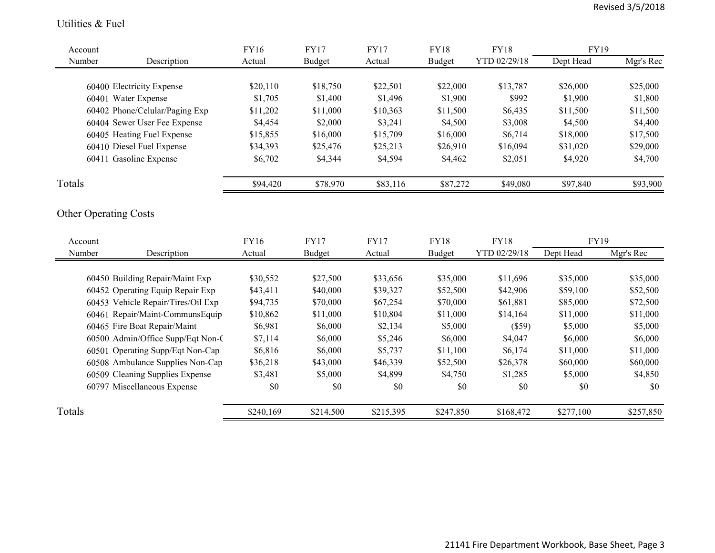#### Utilities & Fuel

| Account |                                    | <b>FY16</b> | <b>FY17</b>   | <b>FY17</b> | <b>FY18</b>   | <b>FY18</b>  | <b>FY19</b> |           |
|---------|------------------------------------|-------------|---------------|-------------|---------------|--------------|-------------|-----------|
| Number  | Description                        | Actual      | <b>Budget</b> | Actual      | <b>Budget</b> | YTD 02/29/18 | Dept Head   | Mgr's Rec |
|         |                                    |             |               |             |               |              |             |           |
|         | 60400 Electricity Expense          | \$20,110    | \$18,750      | \$22,501    | \$22,000      | \$13,787     | \$26,000    | \$25,000  |
|         | 60401 Water Expense                | \$1,705     | \$1,400       | \$1,496     | \$1,900       | \$992        | \$1,900     | \$1,800   |
|         | 60402 Phone/Celular/Paging Exp     | \$11,202    | \$11,000      | \$10,363    | \$11,500      | \$6,435      | \$11,500    | \$11,500  |
|         | 60404 Sewer User Fee Expense       | \$4,454     | \$2,000       | \$3,241     | \$4,500       | \$3,008      | \$4,500     | \$4,400   |
|         | 60405 Heating Fuel Expense         | \$15,855    | \$16,000      | \$15,709    | \$16,000      | \$6,714      | \$18,000    | \$17,500  |
|         | 60410 Diesel Fuel Expense          | \$34,393    | \$25,476      | \$25,213    | \$26,910      | \$16,094     | \$31,020    | \$29,000  |
|         | 60411 Gasoline Expense             | \$6,702     | \$4,344       | \$4,594     | \$4,462       | \$2,051      | \$4,920     | \$4,700   |
| Totals  |                                    | \$94,420    | \$78,970      | \$83,116    | \$87,272      | \$49,080     | \$97,840    | \$93,900  |
|         | <b>Other Operating Costs</b>       |             |               |             |               |              |             |           |
| Account |                                    | FY16        | <b>FY17</b>   | <b>FY17</b> | <b>FY18</b>   | <b>FY18</b>  | FY19        |           |
| Number  | Description                        | Actual      | <b>Budget</b> | Actual      | <b>Budget</b> | YTD 02/29/18 | Dept Head   | Mgr's Rec |
|         | 60450 Building Repair/Maint Exp    | \$30,552    | \$27,500      | \$33,656    | \$35,000      | \$11,696     | \$35,000    | \$35,000  |
|         | 60452 Operating Equip Repair Exp   | \$43,411    | \$40,000      | \$39,327    | \$52,500      | \$42,906     | \$59,100    | \$52,500  |
|         | 60453 Vehicle Repair/Tires/Oil Exp | \$94,735    | \$70,000      | \$67,254    | \$70,000      | \$61,881     | \$85,000    | \$72,500  |
|         | 60461 Repair/Maint-CommunsEquip    | \$10,862    | \$11,000      | \$10,804    | \$11,000      | \$14,164     | \$11,000    | \$11,000  |
|         | 60465 Fire Boat Repair/Maint       | \$6,981     | \$6,000       | \$2,134     | \$5,000       | (\$59)       | \$5,000     | \$5,000   |
|         | 60500 Admin/Office Supp/Eqt Non-C  | \$7,114     | \$6,000       | \$5,246     | \$6,000       | \$4,047      | \$6,000     | \$6,000   |
|         | 60501 Operating Supp/Eqt Non-Cap   | \$6,816     | \$6,000       | \$5,737     | \$11,100      | \$6,174      | \$11,000    | \$11,000  |
|         | 60508 Ambulance Supplies Non-Cap   | \$36,218    | \$43,000      | \$46,339    | \$52,500      | \$26,378     | \$60,000    | \$60,000  |
|         | 60509 Cleaning Supplies Expense    | \$3,481     | \$5,000       | \$4,899     | \$4,750       | \$1,285      | \$5,000     | \$4,850   |
|         | 60797 Miscellaneous Expense        | \$0         | \$0           | \$0         | \$0           | \$0          | \$0         | \$0       |
| Totals  |                                    | \$240,169   | \$214,500     | \$215,395   | \$247,850     | \$168,472    | \$277,100   | \$257,850 |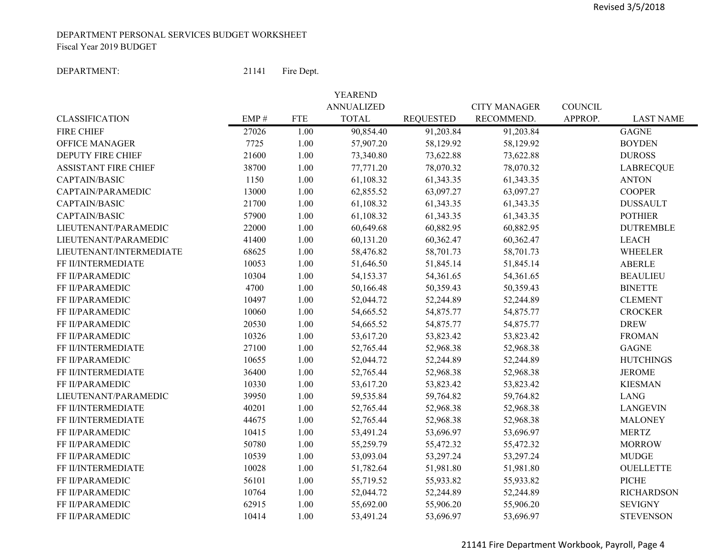#### DEPARTMENT PERSONAL SERVICES BUDGET WORKSHEET Fiscal Year 2019 BUDGET

#### DEPARTMENT:

 21141Fire Dept.

|                             |                                  |            | YEAREND           |                  |                     |                |                   |
|-----------------------------|----------------------------------|------------|-------------------|------------------|---------------------|----------------|-------------------|
|                             |                                  |            | <b>ANNUALIZED</b> |                  | <b>CITY MANAGER</b> | <b>COUNCIL</b> |                   |
| <b>CLASSIFICATION</b>       | $\ensuremath{\mathrm{EMP}}\, \#$ | <b>FTE</b> | <b>TOTAL</b>      | <b>REQUESTED</b> | RECOMMEND.          | APPROP.        | <b>LAST NAME</b>  |
| <b>FIRE CHIEF</b>           | 27026                            | 1.00       | 90,854.40         | 91,203.84        | 91,203.84           |                | <b>GAGNE</b>      |
| <b>OFFICE MANAGER</b>       | 7725                             | 1.00       | 57,907.20         | 58,129.92        | 58,129.92           |                | <b>BOYDEN</b>     |
| <b>DEPUTY FIRE CHIEF</b>    | 21600                            | 1.00       | 73,340.80         | 73,622.88        | 73,622.88           |                | <b>DUROSS</b>     |
| <b>ASSISTANT FIRE CHIEF</b> | 38700                            | 1.00       | 77,771.20         | 78,070.32        | 78,070.32           |                | <b>LABRECQUE</b>  |
| CAPTAIN/BASIC               | 1150                             | 1.00       | 61,108.32         | 61,343.35        | 61,343.35           |                | <b>ANTON</b>      |
| CAPTAIN/PARAMEDIC           | 13000                            | 1.00       | 62,855.52         | 63,097.27        | 63,097.27           |                | <b>COOPER</b>     |
| CAPTAIN/BASIC               | 21700                            | 1.00       | 61,108.32         | 61,343.35        | 61,343.35           |                | <b>DUSSAULT</b>   |
| CAPTAIN/BASIC               | 57900                            | 1.00       | 61,108.32         | 61,343.35        | 61,343.35           |                | <b>POTHIER</b>    |
| LIEUTENANT/PARAMEDIC        | 22000                            | 1.00       | 60,649.68         | 60,882.95        | 60,882.95           |                | <b>DUTREMBLE</b>  |
| LIEUTENANT/PARAMEDIC        | 41400                            | 1.00       | 60,131.20         | 60,362.47        | 60,362.47           |                | <b>LEACH</b>      |
| LIEUTENANT/INTERMEDIATE     | 68625                            | 1.00       | 58,476.82         | 58,701.73        | 58,701.73           |                | <b>WHEELER</b>    |
| FF II/INTERMEDIATE          | 10053                            | 1.00       | 51,646.50         | 51,845.14        | 51,845.14           |                | <b>ABERLE</b>     |
| FF II/PARAMEDIC             | 10304                            | 1.00       | 54,153.37         | 54,361.65        | 54,361.65           |                | <b>BEAULIEU</b>   |
| FF II/PARAMEDIC             | 4700                             | 1.00       | 50,166.48         | 50,359.43        | 50,359.43           |                | <b>BINETTE</b>    |
| FF II/PARAMEDIC             | 10497                            | 1.00       | 52,044.72         | 52,244.89        | 52,244.89           |                | <b>CLEMENT</b>    |
| FF II/PARAMEDIC             | 10060                            | 1.00       | 54,665.52         | 54,875.77        | 54,875.77           |                | <b>CROCKER</b>    |
| FF II/PARAMEDIC             | 20530                            | 1.00       | 54,665.52         | 54,875.77        | 54,875.77           |                | <b>DREW</b>       |
| FF II/PARAMEDIC             | 10326                            | 1.00       | 53,617.20         | 53,823.42        | 53,823.42           |                | <b>FROMAN</b>     |
| FF II/INTERMEDIATE          | 27100                            | 1.00       | 52,765.44         | 52,968.38        | 52,968.38           |                | <b>GAGNE</b>      |
| FF II/PARAMEDIC             | 10655                            | 1.00       | 52,044.72         | 52,244.89        | 52,244.89           |                | <b>HUTCHINGS</b>  |
| FF II/INTERMEDIATE          | 36400                            | 1.00       | 52,765.44         | 52,968.38        | 52,968.38           |                | <b>JEROME</b>     |
| FF II/PARAMEDIC             | 10330                            | 1.00       | 53,617.20         | 53,823.42        | 53,823.42           |                | <b>KIESMAN</b>    |
| LIEUTENANT/PARAMEDIC        | 39950                            | 1.00       | 59,535.84         | 59,764.82        | 59,764.82           |                | <b>LANG</b>       |
| FF II/INTERMEDIATE          | 40201                            | 1.00       | 52,765.44         | 52,968.38        | 52,968.38           |                | <b>LANGEVIN</b>   |
| FF II/INTERMEDIATE          | 44675                            | 1.00       | 52,765.44         | 52,968.38        | 52,968.38           |                | <b>MALONEY</b>    |
| FF II/PARAMEDIC             | 10415                            | 1.00       | 53,491.24         | 53,696.97        | 53,696.97           |                | <b>MERTZ</b>      |
| FF II/PARAMEDIC             | 50780                            | 1.00       | 55,259.79         | 55,472.32        | 55,472.32           |                | <b>MORROW</b>     |
| FF II/PARAMEDIC             | 10539                            | 1.00       | 53,093.04         | 53,297.24        | 53,297.24           |                | <b>MUDGE</b>      |
| FF II/INTERMEDIATE          | 10028                            | 1.00       | 51,782.64         | 51,981.80        | 51,981.80           |                | <b>OUELLETTE</b>  |
| FF II/PARAMEDIC             | 56101                            | 1.00       | 55,719.52         | 55,933.82        | 55,933.82           |                | <b>PICHE</b>      |
| FF II/PARAMEDIC             | 10764                            | 1.00       | 52,044.72         | 52,244.89        | 52,244.89           |                | <b>RICHARDSON</b> |
| FF II/PARAMEDIC             | 62915                            | 1.00       | 55,692.00         | 55,906.20        | 55,906.20           |                | <b>SEVIGNY</b>    |
| FF II/PARAMEDIC             | 10414                            | 1.00       | 53,491.24         | 53,696.97        | 53,696.97           |                | <b>STEVENSON</b>  |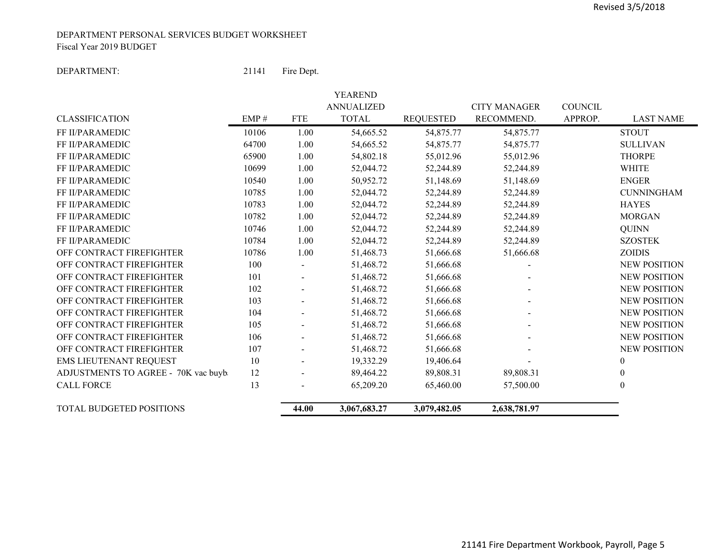#### DEPARTMENT PERSONAL SERVICES BUDGET WORKSHEET Fiscal Year 2019 BUDGET

#### DEPARTMENT:

: 21141 Fire Dept.

|                                     |       |                          | <b>YEAREND</b>                    |                  |                                   |                           |                     |
|-------------------------------------|-------|--------------------------|-----------------------------------|------------------|-----------------------------------|---------------------------|---------------------|
| <b>CLASSIFICATION</b>               | EMP#  | <b>FTE</b>               | <b>ANNUALIZED</b><br><b>TOTAL</b> | <b>REQUESTED</b> | <b>CITY MANAGER</b><br>RECOMMEND. | <b>COUNCIL</b><br>APPROP. | <b>LAST NAME</b>    |
| FF II/PARAMEDIC                     | 10106 | 1.00                     | 54,665.52                         | 54,875.77        | 54,875.77                         |                           | <b>STOUT</b>        |
| FF II/PARAMEDIC                     | 64700 | 1.00                     | 54,665.52                         | 54,875.77        | 54,875.77                         |                           | <b>SULLIVAN</b>     |
| FF II/PARAMEDIC                     | 65900 | 1.00                     | 54,802.18                         | 55,012.96        | 55,012.96                         |                           | <b>THORPE</b>       |
| FF II/PARAMEDIC                     | 10699 | 1.00                     | 52,044.72                         | 52,244.89        | 52,244.89                         |                           | <b>WHITE</b>        |
| FF II/PARAMEDIC                     | 10540 | 1.00                     | 50,952.72                         | 51,148.69        | 51,148.69                         |                           | <b>ENGER</b>        |
| FF II/PARAMEDIC                     | 10785 | 1.00                     | 52,044.72                         | 52,244.89        | 52,244.89                         |                           | <b>CUNNINGHAM</b>   |
| <b>FF II/PARAMEDIC</b>              | 10783 | 1.00                     | 52,044.72                         | 52,244.89        | 52,244.89                         |                           | <b>HAYES</b>        |
| FF II/PARAMEDIC                     | 10782 | 1.00                     | 52,044.72                         | 52,244.89        | 52,244.89                         |                           | <b>MORGAN</b>       |
| FF II/PARAMEDIC                     | 10746 | 1.00                     | 52,044.72                         | 52,244.89        | 52,244.89                         |                           | <b>QUINN</b>        |
| FF II/PARAMEDIC                     | 10784 | 1.00                     | 52,044.72                         | 52,244.89        | 52,244.89                         |                           | <b>SZOSTEK</b>      |
| OFF CONTRACT FIREFIGHTER            | 10786 | 1.00                     | 51,468.73                         | 51,666.68        | 51,666.68                         |                           | ZOIDIS              |
| OFF CONTRACT FIREFIGHTER            | 100   |                          | 51,468.72                         | 51,666.68        |                                   |                           | <b>NEW POSITION</b> |
| OFF CONTRACT FIREFIGHTER            | 101   |                          | 51,468.72                         | 51,666.68        |                                   |                           | <b>NEW POSITION</b> |
| OFF CONTRACT FIREFIGHTER            | 102   |                          | 51,468.72                         | 51,666.68        |                                   |                           | <b>NEW POSITION</b> |
| OFF CONTRACT FIREFIGHTER            | 103   | -                        | 51,468.72                         | 51,666.68        |                                   |                           | <b>NEW POSITION</b> |
| OFF CONTRACT FIREFIGHTER            | 104   | $\overline{\phantom{0}}$ | 51,468.72                         | 51,666.68        |                                   |                           | <b>NEW POSITION</b> |
| OFF CONTRACT FIREFIGHTER            | 105   |                          | 51,468.72                         | 51,666.68        |                                   |                           | <b>NEW POSITION</b> |
| OFF CONTRACT FIREFIGHTER            | 106   |                          | 51,468.72                         | 51,666.68        |                                   |                           | <b>NEW POSITION</b> |
| OFF CONTRACT FIREFIGHTER            | 107   |                          | 51,468.72                         | 51,666.68        |                                   |                           | <b>NEW POSITION</b> |
| EMS LIEUTENANT REQUEST              | 10    |                          | 19,332.29                         | 19,406.64        |                                   |                           | $\boldsymbol{0}$    |
| ADJUSTMENTS TO AGREE - 70K vac buyb | 12    | -                        | 89,464.22                         | 89,808.31        | 89,808.31                         |                           | $\mathbf{0}$        |
| <b>CALL FORCE</b>                   | 13    |                          | 65,209.20                         | 65,460.00        | 57,500.00                         |                           | $\theta$            |
| <b>TOTAL BUDGETED POSITIONS</b>     |       | 44.00                    | 3,067,683.27                      | 3,079,482.05     | 2,638,781.97                      |                           |                     |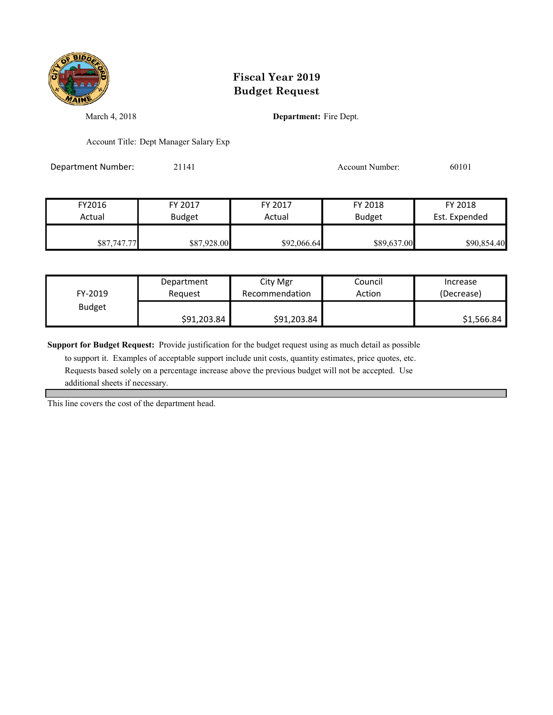

March 4, 2018 **Department:** Fire Dept.

Account Title: Dept Manager Salary Exp

Department Number: 21141 21141 Account Number: 60101

| FY2016      | FY 2017       | FY 2017     | FY 2018       | FY 2018       |
|-------------|---------------|-------------|---------------|---------------|
| Actual      | <b>Budget</b> | Actual      | <b>Budget</b> | Est. Expended |
| \$87,747.77 | \$87,928.00   | \$92,066.64 | \$89,637.00   | \$90,854.40   |

| FY-2019       | Department  | City Mgr       | Council | Increase   |
|---------------|-------------|----------------|---------|------------|
|               | Reauest     | Recommendation | Action  | (Decrease) |
| <b>Budget</b> | \$91,203.84 | \$91,203.84    |         | \$1,566.84 |

**Support for Budget Request:** Provide justification for the budget request using as much detail as possible

 to support it. Examples of acceptable support include unit costs, quantity estimates, price quotes, etc. Requests based solely on a percentage increase above the previous budget will not be accepted. Use additional sheets if necessary.

This line covers the cost of the department head.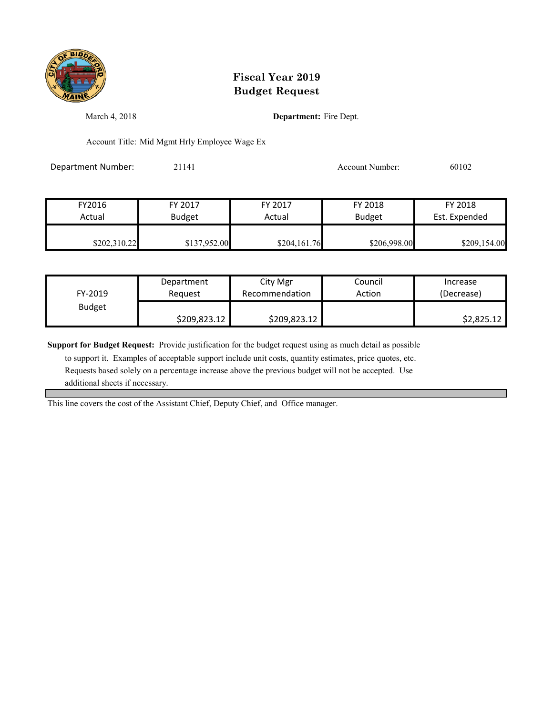

March 4, 2018 **Department:** Fire Dept.

Account Title: Mid Mgmt Hrly Employee Wage Ex

Department Number: 21141 21141 Account Number: 60102

| FY2016       | FY 2017       | FY 2017      | FY 2018       | FY 2018       |
|--------------|---------------|--------------|---------------|---------------|
| Actual       | <b>Budget</b> | Actual       | <b>Budget</b> | Est. Expended |
|              |               |              |               |               |
| \$202,310.22 | \$137,952.00  | \$204,161.76 | \$206,998.00  | \$209,154.00  |

| FY-2019       | Department   | City Mgr       | Council | Increase   |
|---------------|--------------|----------------|---------|------------|
|               | Reauest      | Recommendation | Action  | (Decrease) |
| <b>Budget</b> | \$209,823.12 | \$209,823.12   |         | \$2,825.12 |

**Support for Budget Request:** Provide justification for the budget request using as much detail as possible

 to support it. Examples of acceptable support include unit costs, quantity estimates, price quotes, etc. Requests based solely on a percentage increase above the previous budget will not be accepted. Use additional sheets if necessary.

This line covers the cost of the Assistant Chief, Deputy Chief, and Office manager.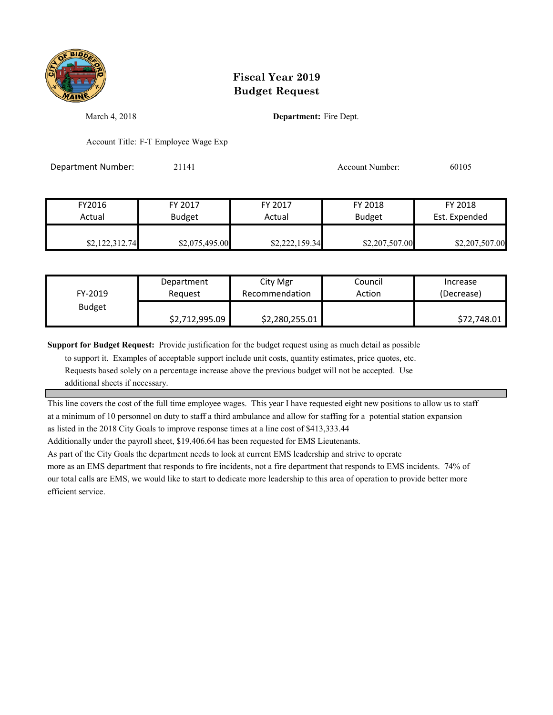

March 4, 2018 **Department:** Fire Dept.

Account Title: F-T Employee Wage Exp

Department Number: 21141 2009 20105 20105

| FY2016         | FY 2017        | FY 2017        | FY 2018        | FY 2018        |
|----------------|----------------|----------------|----------------|----------------|
| Actual         | <b>Budget</b>  | Actual         | <b>Budget</b>  | Est. Expended  |
|                |                |                |                |                |
| \$2,122,312.74 | \$2,075,495.00 | \$2,222,159.34 | \$2,207,507.00 | \$2,207,507.00 |

| FY-2019       | Department     | City Mgr       | Council | Increase    |
|---------------|----------------|----------------|---------|-------------|
|               | Reauest        | Recommendation | Action  | (Decrease)  |
| <b>Budget</b> | \$2,712,995.09 | \$2,280,255.01 |         | \$72,748.01 |

**Support for Budget Request:** Provide justification for the budget request using as much detail as possible

 to support it. Examples of acceptable support include unit costs, quantity estimates, price quotes, etc. Requests based solely on a percentage increase above the previous budget will not be accepted. Use

additional sheets if necessary.

This line covers the cost of the full time employee wages. This year I have requested eight new positions to allow us to staff at a minimum of 10 personnel on duty to staff a third ambulance and allow for staffing for a potential station expansion as listed in the 2018 City Goals to improve response times at a line cost of \$413,333.44

Additionally under the payroll sheet, \$19,406.64 has been requested for EMS Lieutenants.

As part of the City Goals the department needs to look at current EMS leadership and strive to operate

more as an EMS department that responds to fire incidents, not a fire department that responds to EMS incidents. 74% of our total calls are EMS, we would like to start to dedicate more leadership to this area of operation to provide better more efficient service.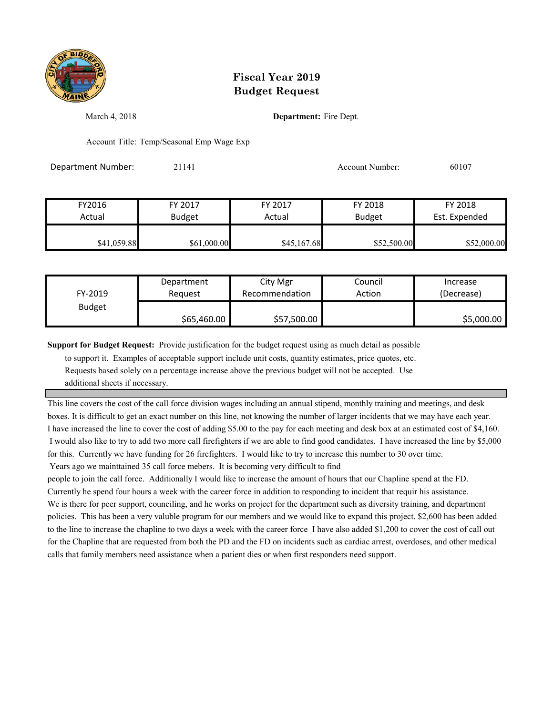

March 4, 2018 **Department:** Fire Dept.

Account Title: Temp/Seasonal Emp Wage Exp

Department Number: 21141 2009 20107 Account Number: 60107

| FY2016      | FY 2017       | FY 2017     | FY 2018       | FY 2018       |
|-------------|---------------|-------------|---------------|---------------|
| Actual      | <b>Budget</b> | Actual      | <b>Budget</b> | Est. Expended |
| \$41,059.88 | \$61,000.00   | \$45,167.68 | \$52,500.00   | \$52,000.00   |

| FY-2019       | Department  | City Mgr       | Council | Increase   |
|---------------|-------------|----------------|---------|------------|
|               | Reauest     | Recommendation | Action  | (Decrease) |
| <b>Budget</b> | \$65,460.00 | \$57,500.00    |         | \$5,000.00 |

**Support for Budget Request:** Provide justification for the budget request using as much detail as possible

 to support it. Examples of acceptable support include unit costs, quantity estimates, price quotes, etc. Requests based solely on a percentage increase above the previous budget will not be accepted. Use additional sheets if necessary.

This line covers the cost of the call force division wages including an annual stipend, monthly training and meetings, and desk boxes. It is difficult to get an exact number on this line, not knowing the number of larger incidents that we may have each year. I have increased the line to cover the cost of adding \$5.00 to the pay for each meeting and desk box at an estimated cost of \$4,160. I would also like to try to add two more call firefighters if we are able to find good candidates. I have increased the line by \$5,000 for this. Currently we have funding for 26 firefighters. I would like to try to increase this number to 30 over time.

Years ago we mainttained 35 call force mebers. It is becoming very difficult to find

people to join the call force. Additionally I would like to increase the amount of hours that our Chapline spend at the FD. Currently he spend four hours a week with the career force in addition to responding to incident that requir his assistance. We is there for peer support, counciling, and he works on project for the department such as diversity training, and department policies. This has been a very valuble program for our members and we would like to expand this project. \$2,600 has been added to the line to increase the chapline to two days a week with the career force I have also added \$1,200 to cover the cost of call out for the Chapline that are requested from both the PD and the FD on incidents such as cardiac arrest, overdoses, and other medical calls that family members need assistance when a patient dies or when first responders need support.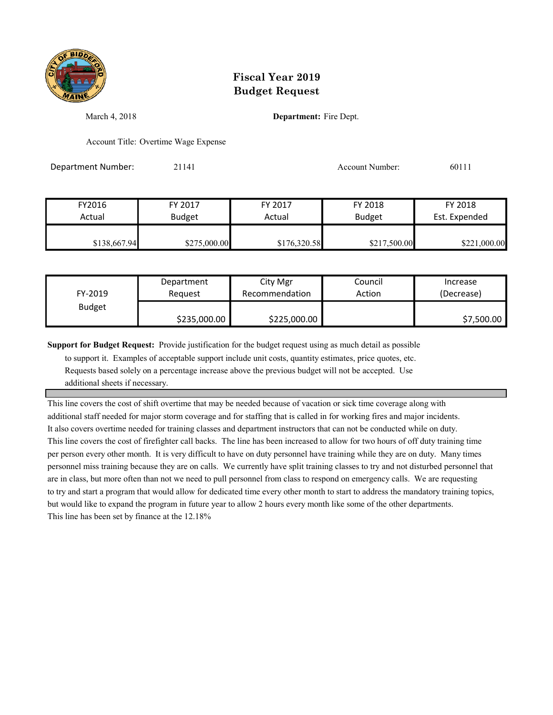

March 4, 2018 **Department:** Fire Dept.

Account Title: Overtime Wage Expense

Department Number: 21141 Account Number: 60111

FY2016 FY 2017 FY 2017 FY 2018 FY 2018 Actual Budget **Actual Budget** Est. Expended \$138,667.94 \$275,000.00 \$276,320.58 \$217,500.00 \$221,000.00

| FY-2019       | Department   | City Mgr       | Council | Increase   |
|---------------|--------------|----------------|---------|------------|
|               | Reauest      | Recommendation | Action  | (Decrease) |
| <b>Budget</b> | \$235,000.00 | \$225,000.00   |         | \$7,500.00 |

**Support for Budget Request:** Provide justification for the budget request using as much detail as possible

 to support it. Examples of acceptable support include unit costs, quantity estimates, price quotes, etc. Requests based solely on a percentage increase above the previous budget will not be accepted. Use additional sheets if necessary.

This line covers the cost of shift overtime that may be needed because of vacation or sick time coverage along with additional staff needed for major storm coverage and for staffing that is called in for working fires and major incidents. It also covers overtime needed for training classes and department instructors that can not be conducted while on duty. This line covers the cost of firefighter call backs. The line has been increased to allow for two hours of off duty training time per person every other month. It is very difficult to have on duty personnel have training while they are on duty. Many times personnel miss training because they are on calls. We currently have split training classes to try and not disturbed personnel that are in class, but more often than not we need to pull personnel from class to respond on emergency calls. We are requesting to try and start a program that would allow for dedicated time every other month to start to address the mandatory training topics, but would like to expand the program in future year to allow 2 hours every month like some of the other departments. This line has been set by finance at the 12.18%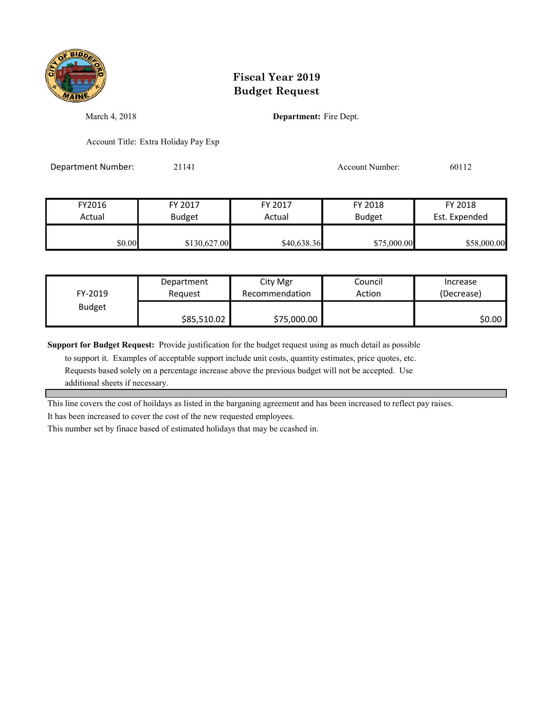

March 4, 2018 **Department:** Fire Dept.

Account Title: Extra Holiday Pay Exp

Department Number: 21141 Account Number: 60112

FY2016 FY 2017 FY 2017 FY 2018 FY 2018 Actual Budget **Actual Budget** Actual Budget Est. Expended \$0.00 \$130,627.00 \$40,638.36 \$75,000.00 \$58,000.00

| FY-2019       | Department  | City Mgr       | Council | Increase   |
|---------------|-------------|----------------|---------|------------|
|               | Reauest     | Recommendation | Action  | (Decrease) |
| <b>Budget</b> | \$85,510.02 | \$75,000.00    |         | S0.00 l    |

**Support for Budget Request:** Provide justification for the budget request using as much detail as possible

 to support it. Examples of acceptable support include unit costs, quantity estimates, price quotes, etc. Requests based solely on a percentage increase above the previous budget will not be accepted. Use additional sheets if necessary.

This line covers the cost of hoildays as listed in the barganing agreement and has been increased to reflect pay raises.

It has been increased to cover the cost of the new requested employees.

This number set by finace based of estimated holidays that may be ccashed in.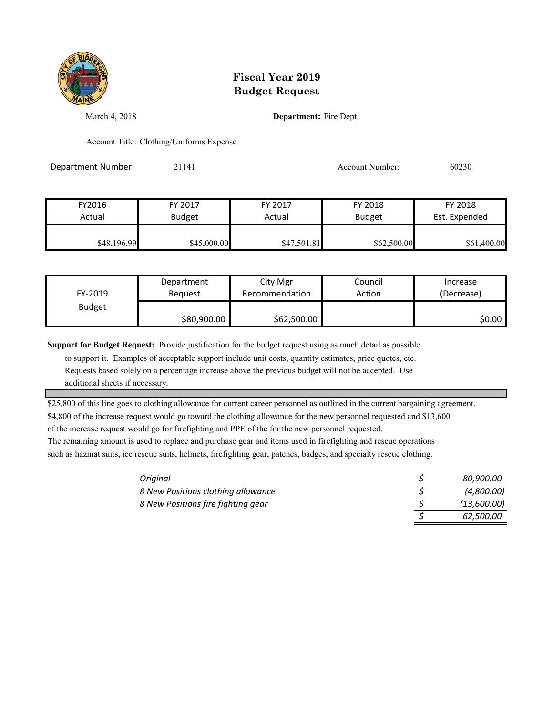

March 4, 2018 **Department:** Fire Dept.

Account Title: Clothing/Uniforms Expense

Department Number: 21141 20230 20230 Account Number: 60230

| FY2016      | FY 2017       | FY 2017     | FY 2018       | FY 2018       |
|-------------|---------------|-------------|---------------|---------------|
| Actual      | <b>Budget</b> | Actual      | <b>Budget</b> | Est. Expended |
|             |               |             |               |               |
| \$48,196.99 | \$45,000.00   | \$47,501.81 | \$62,500.00   | \$61,400.00   |

| FY-2019       | Department  | City Mgr       | Council | Increase   |
|---------------|-------------|----------------|---------|------------|
|               | Reauest     | Recommendation | Action  | (Decrease) |
| <b>Budget</b> | \$80,900.00 | \$62,500.00    |         | S0.00 I    |

**Support for Budget Request:** Provide justification for the budget request using as much detail as possible

 to support it. Examples of acceptable support include unit costs, quantity estimates, price quotes, etc. Requests based solely on a percentage increase above the previous budget will not be accepted. Use additional sheets if necessary.

\$25,800 of this line goes to clothing allowance for current career personnel as outlined in the current bargaining agreement.

\$4,800 of the increase request would go toward the clothing allowance for the new personnel requested and \$13,600

of the increase request would go for firefighting and PPE of the for the new personnel requested.

The remaining amount is used to replace and purchase gear and items used in firefighting and rescue operations such as hazmat suits, ice rescue suits, helmets, firefighting gear, patches, badges, and specialty rescue clothing.

| Original                           | 80,900.00   |
|------------------------------------|-------------|
| 8 New Positions clothing allowance | (4,800.00)  |
| 8 New Positions fire fighting gear | (13,600.00) |
|                                    | 62,500.00   |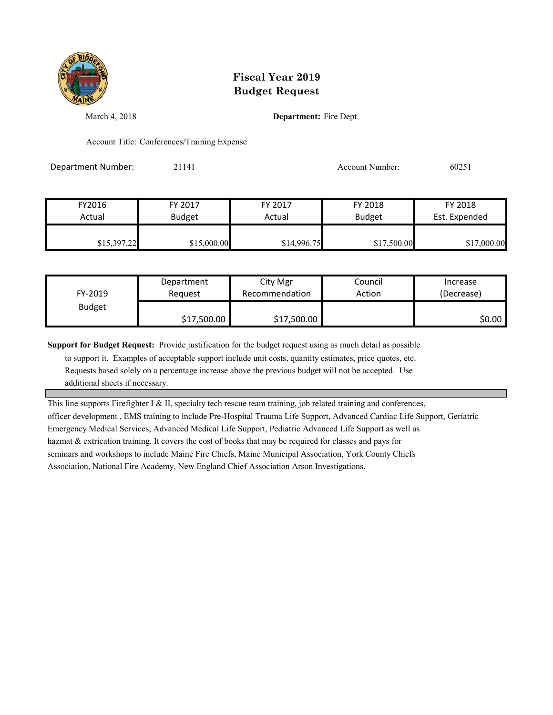

March 4, 2018 **Department:** Fire Dept.

Account Title: Conferences/Training Expense

Department Number: 21141 2003 20051 2006 20251

| FY2016      | FY 2017       | FY 2017     | FY 2018       | FY 2018       |
|-------------|---------------|-------------|---------------|---------------|
| Actual      | <b>Budget</b> | Actual      | <b>Budget</b> | Est. Expended |
| \$15,397.22 | \$15,000.00   | \$14,996.75 | \$17,500.00   | \$17,000.00   |

| FY-2019       | Department  | City Mgr       | Council | Increase   |
|---------------|-------------|----------------|---------|------------|
|               | Reauest     | Recommendation | Action  | (Decrease) |
| <b>Budget</b> | \$17,500.00 | \$17,500.00    |         | \$0.00     |

**Support for Budget Request:** Provide justification for the budget request using as much detail as possible

 to support it. Examples of acceptable support include unit costs, quantity estimates, price quotes, etc. Requests based solely on a percentage increase above the previous budget will not be accepted. Use additional sheets if necessary.

This line supports Firefighter I & II, specialty tech rescue team training, job related training and conferences, officer development , EMS training to include Pre-Hospital Trauma Life Support, Advanced Cardiac Life Support, Geriatric Emergency Medical Services, Advanced Medical Life Support, Pediatric Advanced Life Support as well as hazmat & extrication training. It covers the cost of books that may be required for classes and pays for seminars and workshops to include Maine Fire Chiefs, Maine Municipal Association, York County Chiefs Association, National Fire Academy, New England Chief Association Arson Investigations.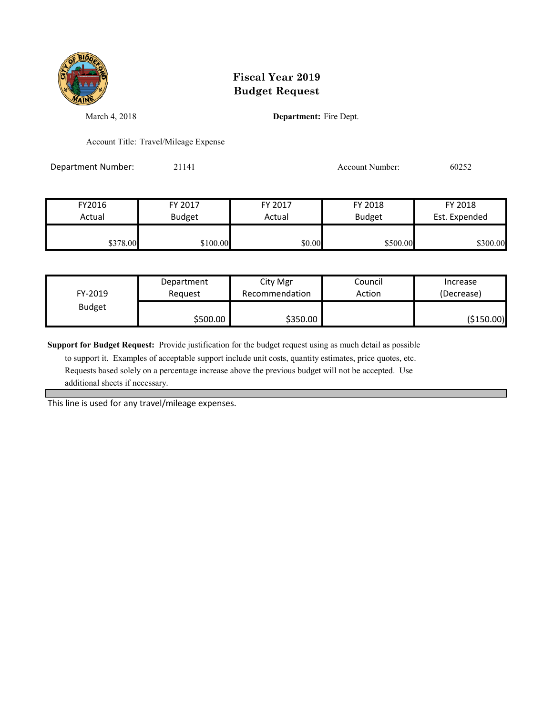

March 4, 2018 **Department:** Fire Dept.

Account Title: Travel/Mileage Expense

Department Number: 21141 Account Number: 60252

FY2016 FY 2017 FY 2017 FY 2018 FY 2018 Actual Budget **Actual Budget** Actual Budget Est. Expended \$378.00 \$100.00 \$100.00 \$0.00 \$500.00 \$500.00 \$300.00

| FY-2019       | Department | City Mgr       | Council | Increase   |
|---------------|------------|----------------|---------|------------|
|               | Reauest    | Recommendation | Action  | (Decrease) |
| <b>Budget</b> | \$500.00   | \$350.00       |         | (\$150.00) |

**Support for Budget Request:** Provide justification for the budget request using as much detail as possible

 to support it. Examples of acceptable support include unit costs, quantity estimates, price quotes, etc. Requests based solely on a percentage increase above the previous budget will not be accepted. Use additional sheets if necessary.

This line is used for any travel/mileage expenses.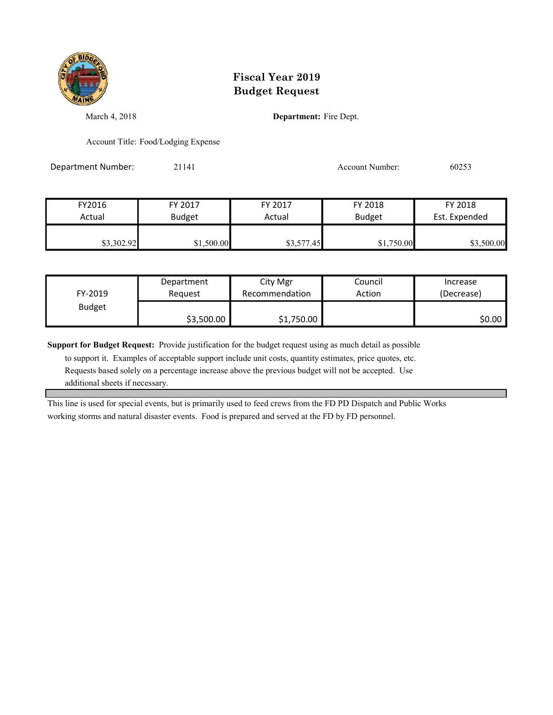

March 4, 2018 **Department:** Fire Dept.

Account Title: Food/Lodging Expense

Department Number: 21141 Account Number: 60253

FY2016 FY 2017 FY 2017 FY 2018 FY 2018 Actual Budget **Actual Budget** Actual Budget Est. Expended \$3,302.92 \$1,500.00 \$3,577.45 \$1,750.00 \$3,500.00

| FY-2019       | Department | City Mgr       | Council | Increase   |
|---------------|------------|----------------|---------|------------|
|               | Reauest    | Recommendation | Action  | (Decrease) |
| <b>Budget</b> | \$3,500.00 | \$1,750.00     |         | \$0.00 l   |

**Support for Budget Request:** Provide justification for the budget request using as much detail as possible

 to support it. Examples of acceptable support include unit costs, quantity estimates, price quotes, etc. Requests based solely on a percentage increase above the previous budget will not be accepted. Use additional sheets if necessary.

This line is used for special events, but is primarily used to feed crews from the FD PD Dispatch and Public Works working storms and natural disaster events. Food is prepared and served at the FD by FD personnel.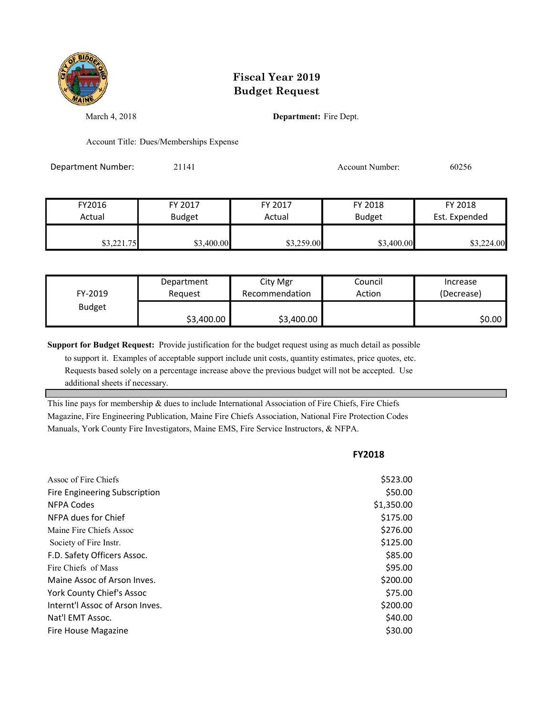

March 4, 2018 **Department:** Fire Dept.

Account Title: Dues/Memberships Expense

Department Number: 21141 Account Number: 60256

| FY2016     | FY 2017       | FY 2017    | FY 2018       | FY 2018       |
|------------|---------------|------------|---------------|---------------|
| Actual     | <b>Budget</b> | Actual     | <b>Budget</b> | Est. Expended |
|            |               |            |               |               |
| \$3,221.75 | \$3,400.00    | \$3,259.00 | \$3,400.00    | \$3,224.00    |

| FY-2019       | Department | City Mgr       | Council | Increase   |
|---------------|------------|----------------|---------|------------|
|               | Reauest    | Recommendation | Action  | (Decrease) |
| <b>Budget</b> | \$3,400.00 | \$3,400.00     |         | \$0.00∣    |

**Support for Budget Request:** Provide justification for the budget request using as much detail as possible

 to support it. Examples of acceptable support include unit costs, quantity estimates, price quotes, etc. Requests based solely on a percentage increase above the previous budget will not be accepted. Use additional sheets if necessary.

This line pays for membership & dues to include International Association of Fire Chiefs, Fire Chiefs Magazine, Fire Engineering Publication, Maine Fire Chiefs Association, National Fire Protection Codes Manuals, York County Fire Investigators, Maine EMS, Fire Service Instructors, & NFPA.

|                                 | <b>FY2018</b> |
|---------------------------------|---------------|
| Assoc of Fire Chiefs            | \$523.00      |
| Fire Engineering Subscription   | \$50.00       |
| NFPA Codes                      | \$1,350.00    |
| NFPA dues for Chief             | \$175.00      |
| Maine Fire Chiefs Assoc         | \$276.00      |
| Society of Fire Instr.          | \$125.00      |
| F.D. Safety Officers Assoc.     | \$85.00       |
| Fire Chiefs of Mass             | \$95.00       |
| Maine Assoc of Arson Inves.     | \$200.00      |
| York County Chief's Assoc       | \$75.00       |
| Internt'l Assoc of Arson Inves. | \$200.00      |
| Nat'l EMT Assoc.                | \$40.00       |
| <b>Fire House Magazine</b>      | \$30.00       |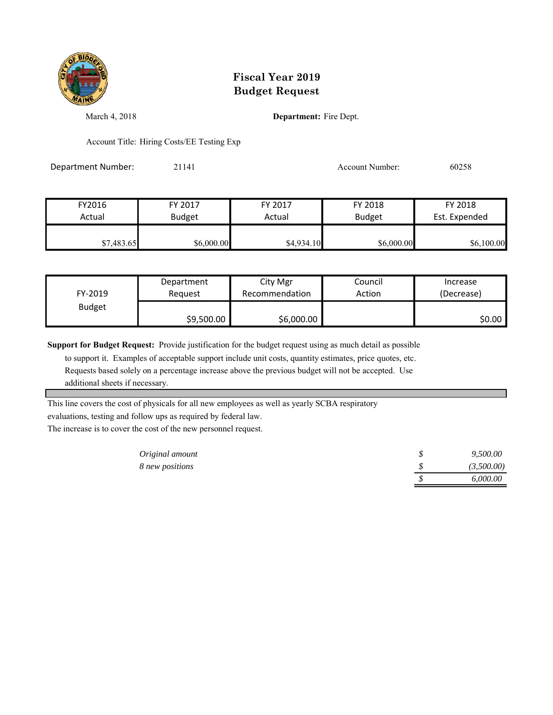

March 4, 2018 **Department:** Fire Dept.

Account Title: Hiring Costs/EE Testing Exp

Department Number: 21141 21141 Account Number: 60258

| FY2016     | FY 2017       | FY 2017    | FY 2018       | FY 2018       |
|------------|---------------|------------|---------------|---------------|
| Actual     | <b>Budget</b> | Actual     | <b>Budget</b> | Est. Expended |
| \$7,483.65 | \$6,000.00    | \$4,934.10 | \$6,000.00    | \$6,100.00    |

| FY-2019       | Department | City Mgr       | Council | Increase   |
|---------------|------------|----------------|---------|------------|
|               | Reauest    | Recommendation | Action  | (Decrease) |
| <b>Budget</b> | \$9,500.00 | \$6,000.00     |         | S0.00 I    |

**Support for Budget Request:** Provide justification for the budget request using as much detail as possible

 to support it. Examples of acceptable support include unit costs, quantity estimates, price quotes, etc. Requests based solely on a percentage increase above the previous budget will not be accepted. Use additional sheets if necessary.

This line covers the cost of physicals for all new employees as well as yearly SCBA respiratory

evaluations, testing and follow ups as required by federal law.

The increase is to cover the cost of the new personnel request.

| Original amount |  | 9,500.00   |
|-----------------|--|------------|
| 8 new positions |  | (3,500.00) |
|                 |  | 6,000.00   |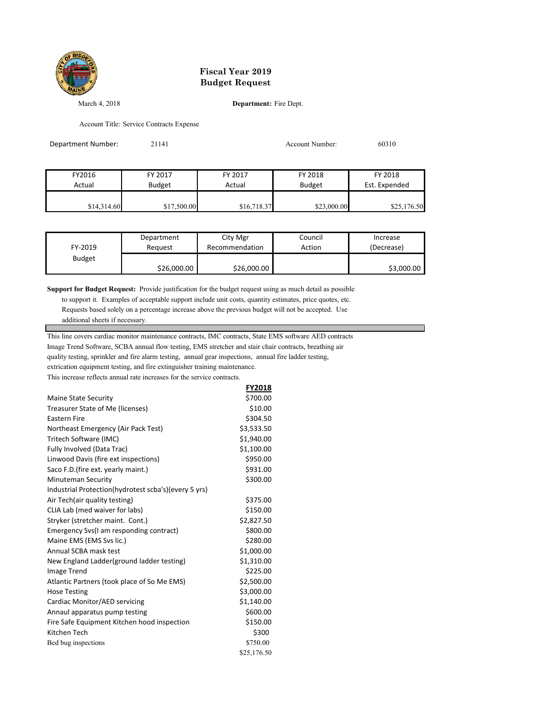

March 4, 2018 **Department:** Fire Dept.

Account Title: Service Contracts Expense

| Department Number: | 21141         |             | Account Number: |               |
|--------------------|---------------|-------------|-----------------|---------------|
|                    |               |             |                 |               |
| FY2016             | FY 2017       | FY 2017     | FY 2018         | FY 2018       |
| Actual             | <b>Budget</b> | Actual      | <b>Budget</b>   | Est. Expended |
| \$14,314.60        | \$17,500.00   | \$16,718.37 | \$23,000.00     | \$25,176.50   |

| FY-2019       | Department  | City Mgr       | Council | Increase   |
|---------------|-------------|----------------|---------|------------|
|               | Reauest     | Recommendation | Action  | (Decrease) |
| <b>Budget</b> | \$26,000.00 | \$26,000.00    |         | \$3,000.00 |

**FY2018**

**Support for Budget Request:** Provide justification for the budget request using as much detail as possible

 to support it. Examples of acceptable support include unit costs, quantity estimates, price quotes, etc. Requests based solely on a percentage increase above the previous budget will not be accepted. Use

additional sheets if necessary.

This line covers cardiac monitor maintenance contracts, IMC contracts, State EMS software AED contracts

Image Trend Software, SCBA annual flow testing, EMS stretcher and stair chair contracts, breathing air

quality testing, sprinkler and fire alarm testing, annual gear inspections, annual fire ladder testing,

extrication equipment testing, and fire extinguisher training maintenance.

This increase reflects annual rate increases for the service contracts.

|                                                      | <b>FYZUIS</b> |
|------------------------------------------------------|---------------|
| Maine State Security                                 | \$700.00      |
| Treasurer State of Me (licenses)                     | \$10.00       |
| <b>Eastern Fire</b>                                  | \$304.50      |
| Northeast Emergency (Air Pack Test)                  | \$3,533.50    |
| Tritech Software (IMC)                               | \$1,940.00    |
| Fully Involved (Data Trac)                           | \$1,100.00    |
| Linwood Davis (fire ext inspections)                 | \$950.00      |
| Saco F.D. (fire ext. yearly maint.)                  | \$931.00      |
| <b>Minuteman Security</b>                            | \$300.00      |
| Industrial Protection(hydrotest scba's)(every 5 yrs) |               |
| Air Tech(air quality testing)                        | \$375.00      |
| CLIA Lab (med waiver for labs)                       | \$150.00      |
| Stryker (stretcher maint. Cont.)                     | \$2,827.50    |
| Emergency Svs(I am responding contract)              | \$800.00      |
| Maine EMS (EMS Svs lic.)                             | \$280.00      |
| Annual SCBA mask test                                | \$1,000.00    |
| New England Ladder(ground ladder testing)            | \$1,310.00    |
| <b>Image Trend</b>                                   | \$225.00      |
| Atlantic Partners (took place of So Me EMS)          | \$2,500.00    |
| <b>Hose Testing</b>                                  | \$3,000.00    |
| Cardiac Monitor/AED servicing                        | \$1,140.00    |
| Annaul apparatus pump testing                        | \$600.00      |
| Fire Safe Equipment Kitchen hood inspection          | \$150.00      |
| Kitchen Tech                                         | \$300         |
| Bed bug inspections                                  | \$750.00      |
|                                                      | \$25,176.50   |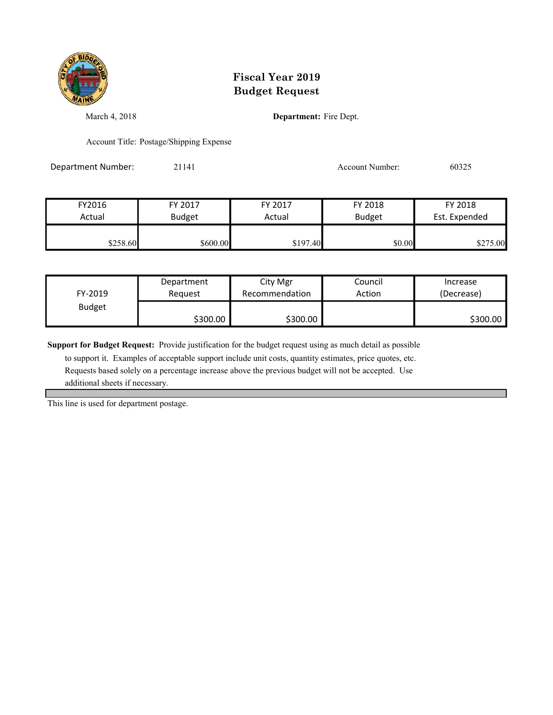

March 4, 2018 **Department:** Fire Dept.

Account Title: Postage/Shipping Expense

Department Number: 21141 21141 Account Number: 60325

| FY2016   | FY 2017       | FY 2017  | FY 2018       | FY 2018       |
|----------|---------------|----------|---------------|---------------|
| Actual   | <b>Budget</b> | Actual   | <b>Budget</b> | Est. Expended |
| \$258.60 | \$600.00      | \$197.40 | \$0.00        | \$275.00      |

| FY-2019       | Department | City Mgr       | Council | Increase   |
|---------------|------------|----------------|---------|------------|
|               | Reauest    | Recommendation | Action  | (Decrease) |
| <b>Budget</b> | \$300.00   | \$300.00       |         | \$300.00   |

**Support for Budget Request:** Provide justification for the budget request using as much detail as possible

 to support it. Examples of acceptable support include unit costs, quantity estimates, price quotes, etc. Requests based solely on a percentage increase above the previous budget will not be accepted. Use additional sheets if necessary.

This line is used for department postage.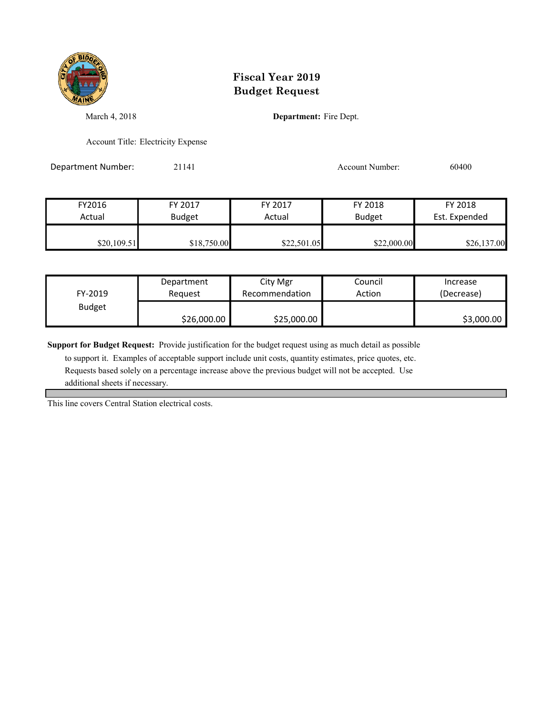

March 4, 2018 **Department:** Fire Dept.

Account Title: Electricity Expense

Department Number: 21141 21141 Account Number: 60400

| FY2016      | FY 2017       | FY 2017     | FY 2018       | FY 2018       |
|-------------|---------------|-------------|---------------|---------------|
| Actual      | <b>Budget</b> | Actual      | <b>Budget</b> | Est. Expended |
| \$20,109.51 | \$18,750.00   | \$22,501.05 | \$22,000.00   | \$26,137.00   |

| FY-2019       | Department  | City Mgr       | Council | Increase   |
|---------------|-------------|----------------|---------|------------|
|               | Reauest     | Recommendation | Action  | (Decrease) |
| <b>Budget</b> | \$26,000.00 | \$25,000.00    |         | \$3,000.00 |

**Support for Budget Request:** Provide justification for the budget request using as much detail as possible

 to support it. Examples of acceptable support include unit costs, quantity estimates, price quotes, etc. Requests based solely on a percentage increase above the previous budget will not be accepted. Use additional sheets if necessary.

This line covers Central Station electrical costs.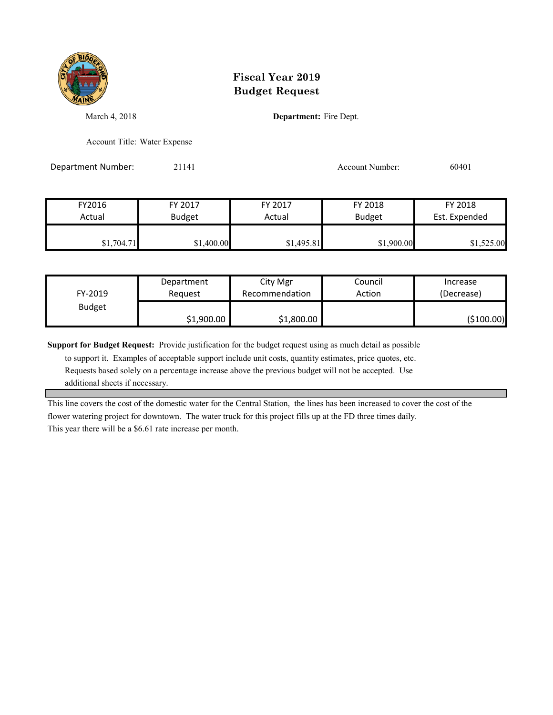

March 4, 2018 **Department:** Fire Dept.

Account Title: Water Expense

Department Number: 21141 Account Number: 60401

| FY2016     | FY 2017       | FY 2017    | FY 2018       | FY 2018       |
|------------|---------------|------------|---------------|---------------|
| Actual     | <b>Budget</b> | Actual     | <b>Budget</b> | Est. Expended |
| \$1,704.71 | \$1,400.00    | \$1,495.81 | \$1,900.00    | \$1,525.00    |

| FY-2019       | Department | City Mgr       | Council | Increase    |
|---------------|------------|----------------|---------|-------------|
|               | Reauest    | Recommendation | Action  | (Decrease)  |
| <b>Budget</b> | \$1,900.00 | \$1,800.00     |         | ( \$100.00) |

**Support for Budget Request:** Provide justification for the budget request using as much detail as possible

 to support it. Examples of acceptable support include unit costs, quantity estimates, price quotes, etc. Requests based solely on a percentage increase above the previous budget will not be accepted. Use additional sheets if necessary.

This line covers the cost of the domestic water for the Central Station, the lines has been increased to cover the cost of the flower watering project for downtown. The water truck for this project fills up at the FD three times daily. This year there will be a \$6.61 rate increase per month.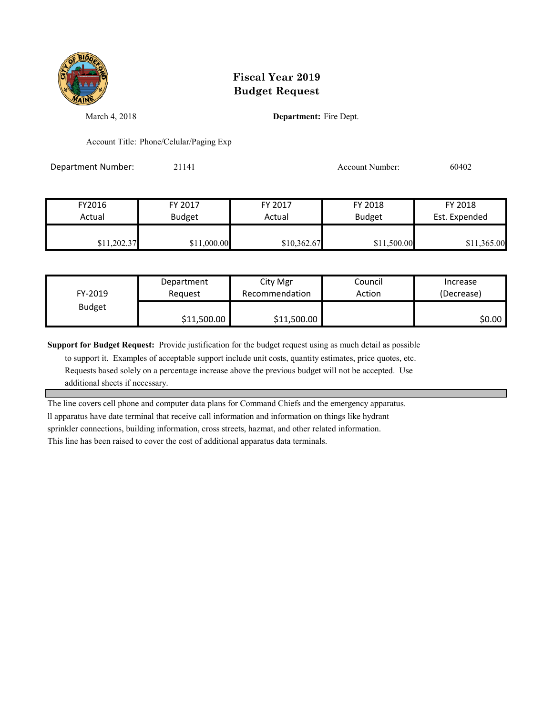

March 4, 2018 **Department:** Fire Dept.

Account Title: Phone/Celular/Paging Exp

Department Number: 21141 Account Number: 60402

| FY2016      | FY 2017       | FY 2017     | FY 2018       | FY 2018       |
|-------------|---------------|-------------|---------------|---------------|
| Actual      | <b>Budget</b> | Actual      | <b>Budget</b> | Est. Expended |
| \$11,202.37 | \$11,000.00   | \$10,362.67 | \$11,500.00   | \$11,365.00   |

| FY-2019       | Department  | City Mgr       | Council | Increase   |
|---------------|-------------|----------------|---------|------------|
|               | Reauest     | Recommendation | Action  | (Decrease) |
| <b>Budget</b> | \$11,500.00 | \$11,500.00    |         | \$0.00     |

**Support for Budget Request:** Provide justification for the budget request using as much detail as possible

 to support it. Examples of acceptable support include unit costs, quantity estimates, price quotes, etc. Requests based solely on a percentage increase above the previous budget will not be accepted. Use additional sheets if necessary.

The line covers cell phone and computer data plans for Command Chiefs and the emergency apparatus.

ll apparatus have date terminal that receive call information and information on things like hydrant sprinkler connections, building information, cross streets, hazmat, and other related information.

This line has been raised to cover the cost of additional apparatus data terminals.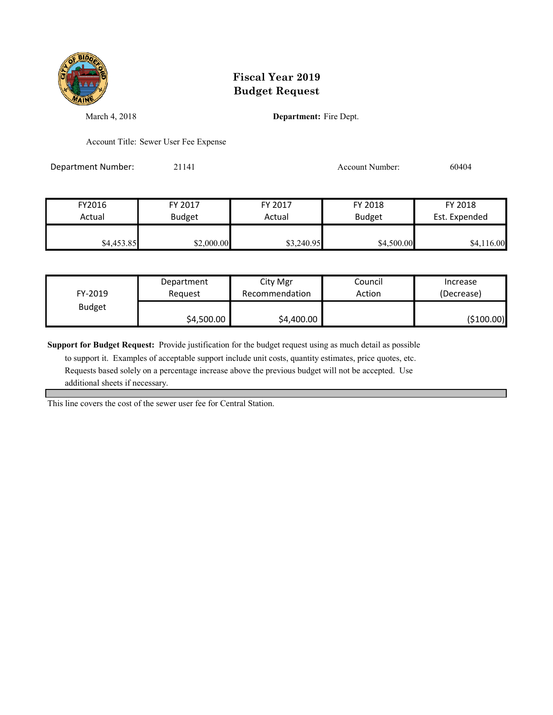

March 4, 2018 **Department:** Fire Dept.

Account Title: Sewer User Fee Expense

Department Number: 21141 21141 Account Number: 60404

| FY2016     | FY 2017       | FY 2017    | FY 2018       | FY 2018       |
|------------|---------------|------------|---------------|---------------|
| Actual     | <b>Budget</b> | Actual     | <b>Budget</b> | Est. Expended |
| \$4,453.85 | \$2,000.00    | \$3,240.95 | \$4,500.00    | \$4,116.00    |

| FY-2019       | Department | City Mgr       | Council | Increase    |
|---------------|------------|----------------|---------|-------------|
|               | Reauest    | Recommendation | Action  | (Decrease)  |
| <b>Budget</b> | \$4,500.00 | \$4,400.00     |         | ( \$100.00) |

**Support for Budget Request:** Provide justification for the budget request using as much detail as possible

 to support it. Examples of acceptable support include unit costs, quantity estimates, price quotes, etc. Requests based solely on a percentage increase above the previous budget will not be accepted. Use additional sheets if necessary.

This line covers the cost of the sewer user fee for Central Station.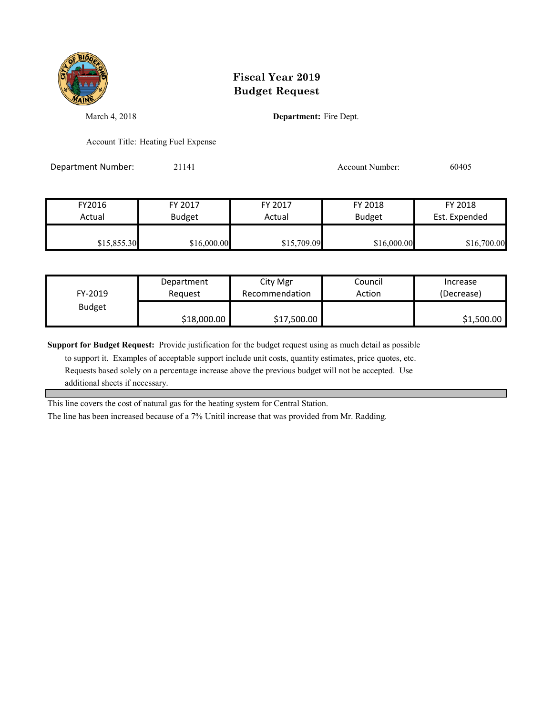

March 4, 2018 **Department:** Fire Dept.

Account Title: Heating Fuel Expense

Department Number: 21141 21141 Account Number: 60405

| FY2016      | FY 2017       | FY 2017     | FY 2018       | FY 2018       |
|-------------|---------------|-------------|---------------|---------------|
| Actual      | <b>Budget</b> | Actual      | <b>Budget</b> | Est. Expended |
| \$15,855.30 | \$16,000.00   | \$15,709.09 | \$16,000.00   | \$16,700.00   |

| FY-2019       | Department  | City Mgr       | Council | Increase   |
|---------------|-------------|----------------|---------|------------|
|               | Reauest     | Recommendation | Action  | (Decrease) |
| <b>Budget</b> | \$18,000.00 | \$17,500.00    |         | \$1,500.00 |

**Support for Budget Request:** Provide justification for the budget request using as much detail as possible

 to support it. Examples of acceptable support include unit costs, quantity estimates, price quotes, etc. Requests based solely on a percentage increase above the previous budget will not be accepted. Use additional sheets if necessary.

This line covers the cost of natural gas for the heating system for Central Station.

The line has been increased because of a 7% Unitil increase that was provided from Mr. Radding.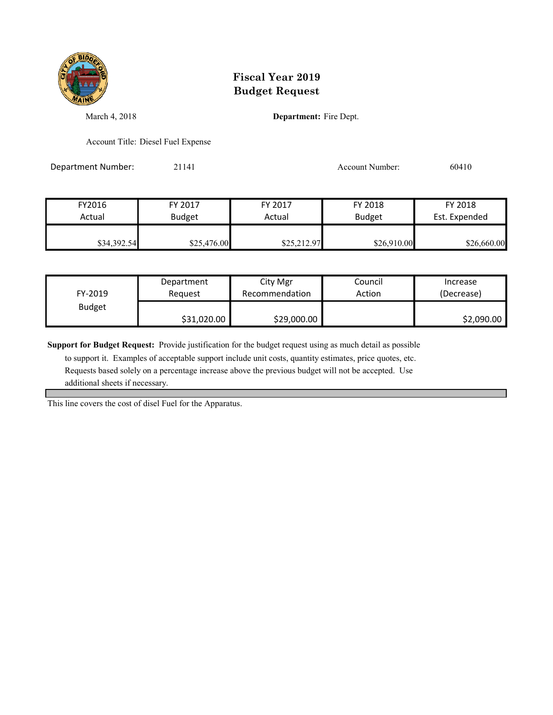

March 4, 2018 **Department:** Fire Dept.

Account Title: Diesel Fuel Expense

Department Number: 21141 21141 Account Number: 60410

| FY2016      | FY 2017       | FY 2017     | FY 2018       | FY 2018       |
|-------------|---------------|-------------|---------------|---------------|
| Actual      | <b>Budget</b> | Actual      | <b>Budget</b> | Est. Expended |
| \$34,392.54 | \$25,476.00   | \$25,212.97 | \$26,910.00   | \$26,660.00   |

| FY-2019       | Department  | City Mgr       | Council | Increase   |
|---------------|-------------|----------------|---------|------------|
|               | Reauest     | Recommendation | Action  | (Decrease) |
| <b>Budget</b> | \$31,020.00 | \$29,000.00    |         | \$2,090.00 |

**Support for Budget Request:** Provide justification for the budget request using as much detail as possible

 to support it. Examples of acceptable support include unit costs, quantity estimates, price quotes, etc. Requests based solely on a percentage increase above the previous budget will not be accepted. Use additional sheets if necessary.

This line covers the cost of disel Fuel for the Apparatus.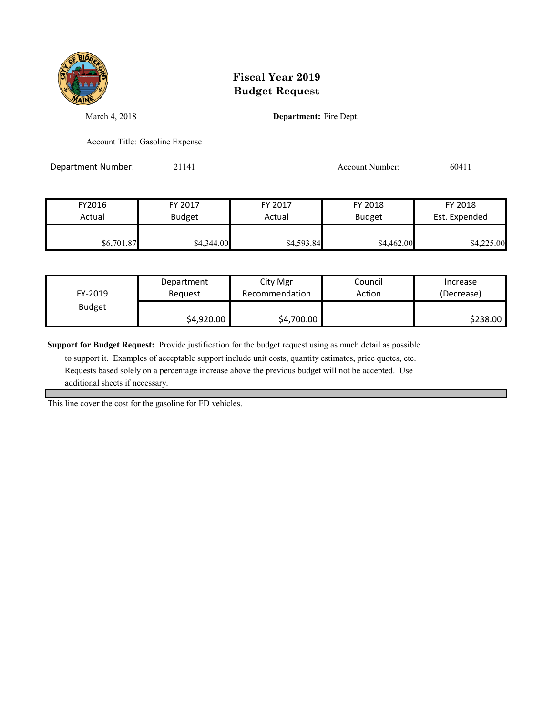

March 4, 2018 **Department:** Fire Dept.

Account Title: Gasoline Expense

Department Number: 21141 Account Number: 60411

FY2016 FY 2017 FY 2017 FY 2018 FY 2018 Actual Budget **Actual Budget** Actual Budget Est. Expended \$6,701.87 \$4,344.00 \$4,593.84 \$4,462.00 \$4,225.00

| FY-2019       | Department | City Mgr       | Council | Increase   |
|---------------|------------|----------------|---------|------------|
|               | Reauest    | Recommendation | Action  | (Decrease) |
| <b>Budget</b> | \$4,920.00 | \$4,700.00     |         | \$238.00   |

**Support for Budget Request:** Provide justification for the budget request using as much detail as possible

 to support it. Examples of acceptable support include unit costs, quantity estimates, price quotes, etc. Requests based solely on a percentage increase above the previous budget will not be accepted. Use additional sheets if necessary.

This line cover the cost for the gasoline for FD vehicles.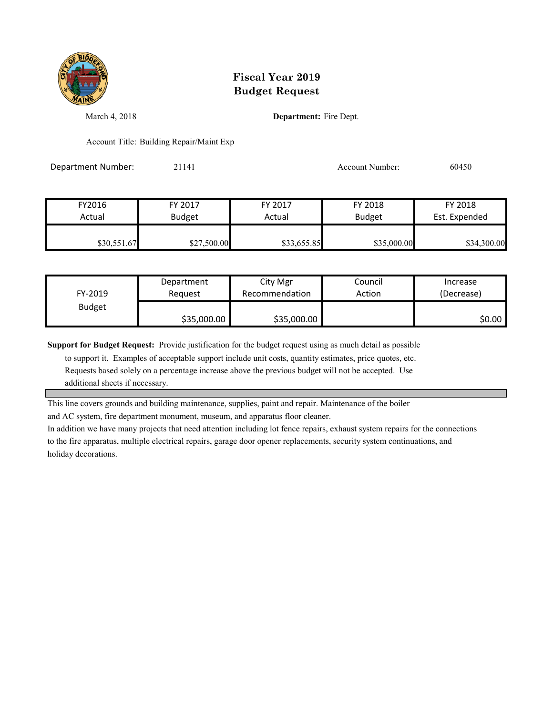

March 4, 2018 **Department:** Fire Dept.

Account Title: Building Repair/Maint Exp

Department Number: 21141 Account Number: 60450

| FY2016      | FY 2017       | FY 2017     | FY 2018       | FY 2018       |
|-------------|---------------|-------------|---------------|---------------|
| Actual      | <b>Budget</b> | Actual      | <b>Budget</b> | Est. Expended |
|             |               |             |               |               |
| \$30,551.67 | \$27,500.00   | \$33,655.85 | \$35,000.00   | \$34,300.00   |

| FY-2019       | Department  | City Mgr       | Council | Increase   |
|---------------|-------------|----------------|---------|------------|
|               | Reauest     | Recommendation | Action  | (Decrease) |
| <b>Budget</b> | \$35,000.00 | \$35,000.00    |         | S0.00 I    |

**Support for Budget Request:** Provide justification for the budget request using as much detail as possible

 to support it. Examples of acceptable support include unit costs, quantity estimates, price quotes, etc. Requests based solely on a percentage increase above the previous budget will not be accepted. Use additional sheets if necessary.

This line covers grounds and building maintenance, supplies, paint and repair. Maintenance of the boiler

and AC system, fire department monument, museum, and apparatus floor cleaner.

In addition we have many projects that need attention including lot fence repairs, exhaust system repairs for the connections to the fire apparatus, multiple electrical repairs, garage door opener replacements, security system continuations, and holiday decorations.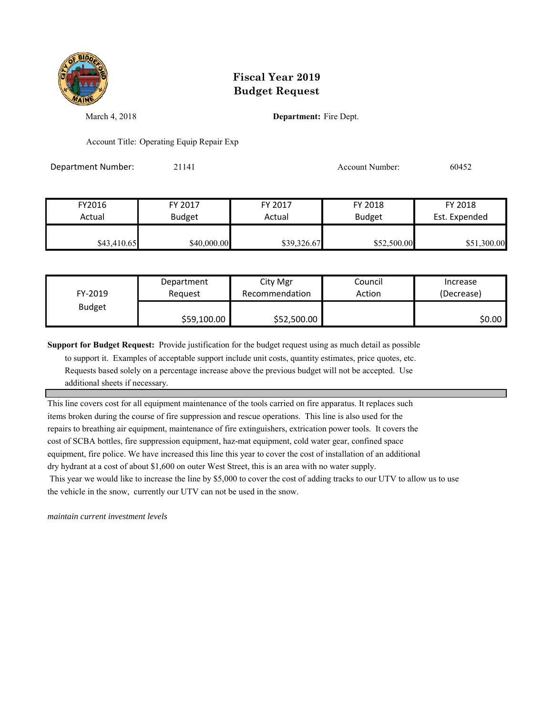

March 4, 2018 **Department:** Fire Dept.

Account Title: Operating Equip Repair Exp

Department Number: 21141 Account Number: 60452

| FY2016      | FY 2017       | FY 2017     | FY 2018       | FY 2018       |
|-------------|---------------|-------------|---------------|---------------|
| Actual      | <b>Budget</b> | Actual      | <b>Budget</b> | Est. Expended |
|             |               |             |               |               |
| \$43,410.65 | \$40,000.00   | \$39,326.67 | \$52,500.00   | \$51,300.00   |

| FY-2019       | Department  | City Mgr       | Council | Increase   |
|---------------|-------------|----------------|---------|------------|
|               | Reauest     | Recommendation | Action  | (Decrease) |
| <b>Budget</b> | \$59,100.00 | \$52,500.00    |         | S0.00      |

**Support for Budget Request:** Provide justification for the budget request using as much detail as possible

 to support it. Examples of acceptable support include unit costs, quantity estimates, price quotes, etc. Requests based solely on a percentage increase above the previous budget will not be accepted. Use additional sheets if necessary.

This line covers cost for all equipment maintenance of the tools carried on fire apparatus. It replaces such items broken during the course of fire suppression and rescue operations. This line is also used for the repairs to breathing air equipment, maintenance of fire extinguishers, extrication power tools. It covers the cost of SCBA bottles, fire suppression equipment, haz-mat equipment, cold water gear, confined space equipment, fire police. We have increased this line this year to cover the cost of installation of an additional dry hydrant at a cost of about \$1,600 on outer West Street, this is an area with no water supply. This year we would like to increase the line by \$5,000 to cover the cost of adding tracks to our UTV to allow us to use the vehicle in the snow, currently our UTV can not be used in the snow.

*maintain current investment levels*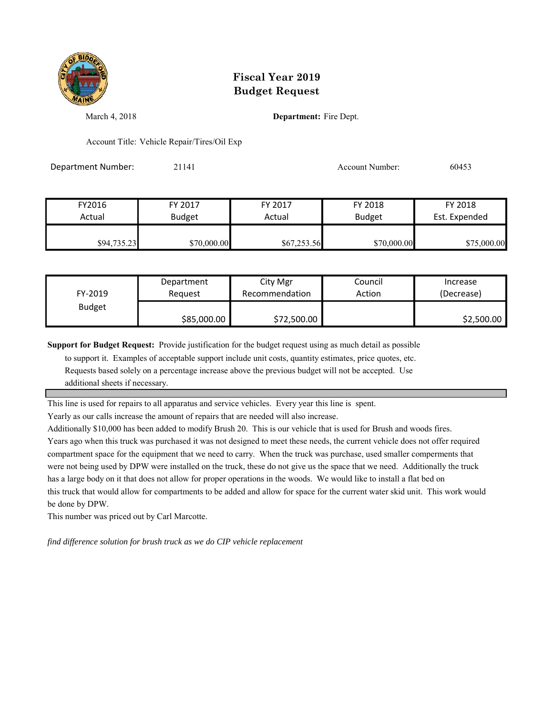

March 4, 2018 **Department:** Fire Dept.

Account Title: Vehicle Repair/Tires/Oil Exp

Department Number: 21141 2009 2014 20153

| FY2016      | FY 2017       | FY 2017     | FY 2018       | FY 2018       |
|-------------|---------------|-------------|---------------|---------------|
| Actual      | <b>Budget</b> | Actual      | <b>Budget</b> | Est. Expended |
| \$94,735.23 | \$70,000.00   | \$67,253.56 | \$70,000.00   | \$75,000.00   |

| FY-2019       | Department  | City Mgr       | Council | Increase   |
|---------------|-------------|----------------|---------|------------|
|               | Reguest     | Recommendation | Action  | (Decrease) |
| <b>Budget</b> | \$85,000.00 | \$72,500.00    |         | \$2,500.00 |

**Support for Budget Request:** Provide justification for the budget request using as much detail as possible

 to support it. Examples of acceptable support include unit costs, quantity estimates, price quotes, etc. Requests based solely on a percentage increase above the previous budget will not be accepted. Use additional sheets if necessary.

This line is used for repairs to all apparatus and service vehicles. Every year this line is spent.

Yearly as our calls increase the amount of repairs that are needed will also increase.

Additionally \$10,000 has been added to modify Brush 20. This is our vehicle that is used for Brush and woods fires. Years ago when this truck was purchased it was not designed to meet these needs, the current vehicle does not offer required compartment space for the equipment that we need to carry. When the truck was purchase, used smaller comperments that were not being used by DPW were installed on the truck, these do not give us the space that we need. Additionally the truck has a large body on it that does not allow for proper operations in the woods. We would like to install a flat bed on this truck that would allow for compartments to be added and allow for space for the current water skid unit. This work would

be done by DPW. This number was priced out by Carl Marcotte.

*find difference solution for brush truck as we do CIP vehicle replacement*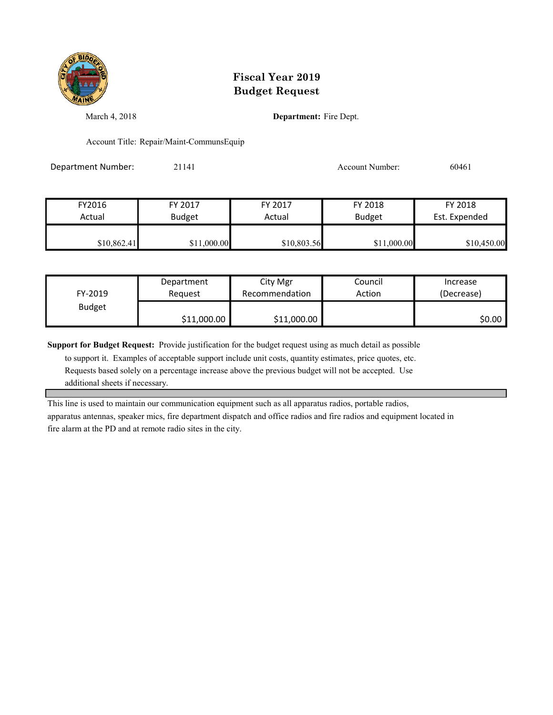

March 4, 2018 **Department:** Fire Dept.

Account Title: Repair/Maint-CommunsEquip

Department Number: 21141 Account Number: 60461

| FY2016      | FY 2017       | FY 2017     | FY 2018       | FY 2018       |
|-------------|---------------|-------------|---------------|---------------|
| Actual      | <b>Budget</b> | Actual      | <b>Budget</b> | Est. Expended |
|             |               |             |               |               |
| \$10,862.41 | \$11,000.00   | \$10,803.56 | \$11,000.00   | \$10,450.00   |

| FY-2019       | Department  | City Mgr       | Council | Increase   |
|---------------|-------------|----------------|---------|------------|
|               | Reauest     | Recommendation | Action  | (Decrease) |
| <b>Budget</b> | \$11,000.00 | \$11,000.00    |         | S0.00 I    |

**Support for Budget Request:** Provide justification for the budget request using as much detail as possible

 to support it. Examples of acceptable support include unit costs, quantity estimates, price quotes, etc. Requests based solely on a percentage increase above the previous budget will not be accepted. Use additional sheets if necessary.

This line is used to maintain our communication equipment such as all apparatus radios, portable radios,

apparatus antennas, speaker mics, fire department dispatch and office radios and fire radios and equipment located in fire alarm at the PD and at remote radio sites in the city.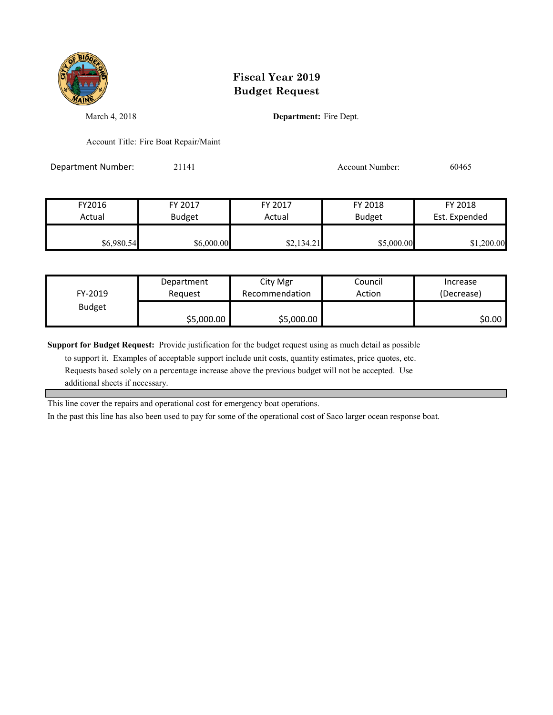

March 4, 2018 **Department:** Fire Dept.

Account Title: Fire Boat Repair/Maint

Department Number: 21141 Account Number: 60465

| FY2016     | FY 2017       | FY 2017    | FY 2018       | FY 2018       |
|------------|---------------|------------|---------------|---------------|
| Actual     | <b>Budget</b> | Actual     | <b>Budget</b> | Est. Expended |
|            |               |            |               |               |
| \$6,980.54 | \$6,000.00    | \$2,134.21 | \$5,000.00    | \$1,200.00    |

| FY-2019       | Department | City Mgr       | Council | Increase   |
|---------------|------------|----------------|---------|------------|
|               | Reauest    | Recommendation | Action  | (Decrease) |
| <b>Budget</b> | \$5,000.00 | \$5,000.00     |         | \$0.00     |

**Support for Budget Request:** Provide justification for the budget request using as much detail as possible

 to support it. Examples of acceptable support include unit costs, quantity estimates, price quotes, etc. Requests based solely on a percentage increase above the previous budget will not be accepted. Use additional sheets if necessary.

This line cover the repairs and operational cost for emergency boat operations.

In the past this line has also been used to pay for some of the operational cost of Saco larger ocean response boat.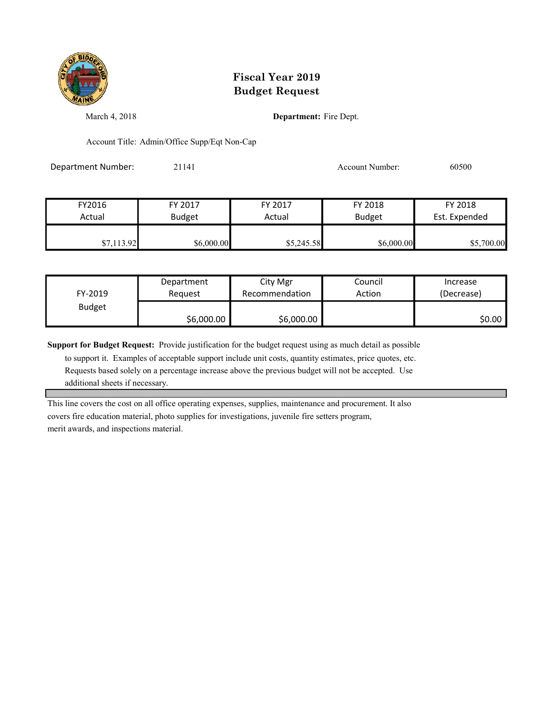

March 4, 2018 **Department:** Fire Dept.

Account Title: Admin/Office Supp/Eqt Non-Cap

Department Number: 21141 Account Number: 60500

| FY2016     | FY 2017       | FY 2017    | FY 2018       | FY 2018       |
|------------|---------------|------------|---------------|---------------|
| Actual     | <b>Budget</b> | Actual     | <b>Budget</b> | Est. Expended |
|            |               |            |               |               |
| \$7,113.92 | \$6,000.00    | \$5,245.58 | \$6,000.00    | \$5,700.00    |

| FY-2019       | Department | City Mgr       | Council | Increase   |
|---------------|------------|----------------|---------|------------|
|               | Reauest    | Recommendation | Action  | (Decrease) |
| <b>Budget</b> | \$6,000.00 | \$6,000.00     |         | S0.00 I    |

**Support for Budget Request:** Provide justification for the budget request using as much detail as possible

 to support it. Examples of acceptable support include unit costs, quantity estimates, price quotes, etc. Requests based solely on a percentage increase above the previous budget will not be accepted. Use additional sheets if necessary.

This line covers the cost on all office operating expenses, supplies, maintenance and procurement. It also covers fire education material, photo supplies for investigations, juvenile fire setters program, merit awards, and inspections material.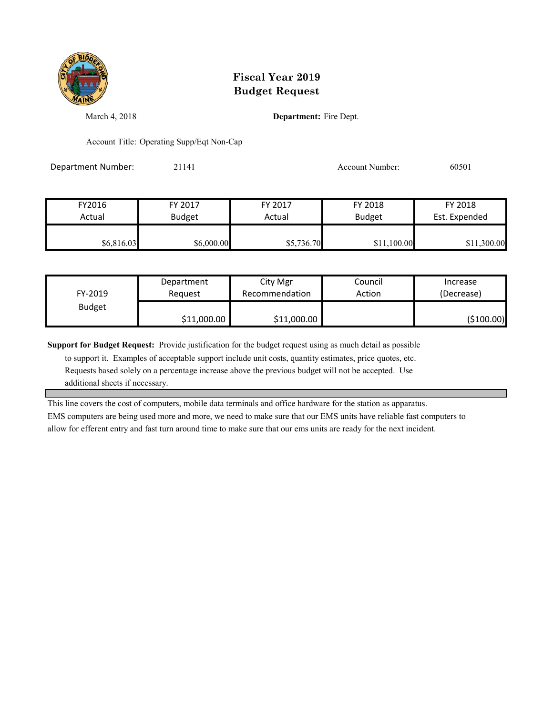

March 4, 2018 **Department:** Fire Dept.

Account Title: Operating Supp/Eqt Non-Cap

Department Number: 21141 2009 2014 2020 2020 2020 2020 2020 2030 2040 20501

| FY2016     | FY 2017       | FY 2017    | FY 2018       | FY 2018       |
|------------|---------------|------------|---------------|---------------|
| Actual     | <b>Budget</b> | Actual     | <b>Budget</b> | Est. Expended |
| \$6,816.03 | \$6,000.00    | \$5,736.70 | \$11,100.00   | \$11,300.00   |

| FY-2019       | Department  | City Mgr       | Council | Increase    |
|---------------|-------------|----------------|---------|-------------|
|               | Reauest     | Recommendation | Action  | (Decrease)  |
| <b>Budget</b> | \$11,000.00 | \$11,000.00    |         | ( \$100.00) |

**Support for Budget Request:** Provide justification for the budget request using as much detail as possible

 to support it. Examples of acceptable support include unit costs, quantity estimates, price quotes, etc. Requests based solely on a percentage increase above the previous budget will not be accepted. Use additional sheets if necessary.

This line covers the cost of computers, mobile data terminals and office hardware for the station as apparatus.

EMS computers are being used more and more, we need to make sure that our EMS units have reliable fast computers to allow for efferent entry and fast turn around time to make sure that our ems units are ready for the next incident.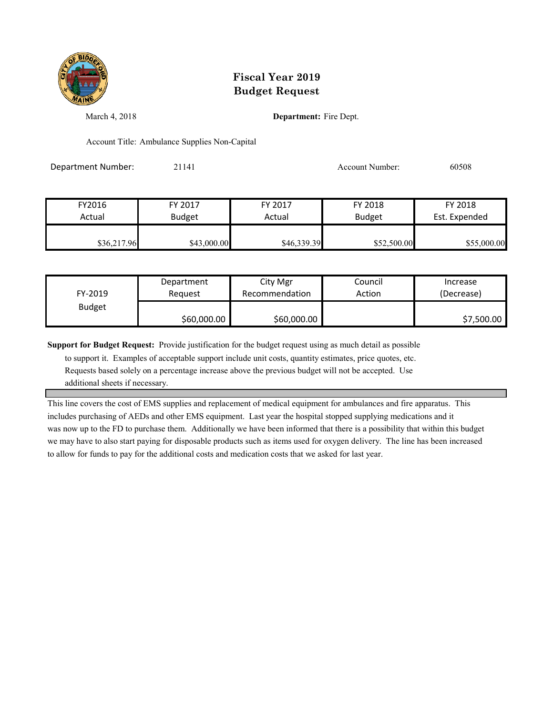

March 4, 2018 **Department:** Fire Dept.

Account Title: Ambulance Supplies Non-Capital

Department Number: 21141 Account Number: 60508

| FY2016      | FY 2017       | FY 2017     | FY 2018       | FY 2018       |
|-------------|---------------|-------------|---------------|---------------|
| Actual      | <b>Budget</b> | Actual      | <b>Budget</b> | Est. Expended |
| \$36,217.96 | \$43,000.00   | \$46,339.39 | \$52,500.00   | \$55,000.00   |

| FY-2019       | Department  | City Mgr       | Council | Increase   |
|---------------|-------------|----------------|---------|------------|
|               | Reauest     | Recommendation | Action  | (Decrease) |
| <b>Budget</b> | \$60,000.00 | \$60,000.00    |         | \$7,500.00 |

**Support for Budget Request:** Provide justification for the budget request using as much detail as possible

 to support it. Examples of acceptable support include unit costs, quantity estimates, price quotes, etc. Requests based solely on a percentage increase above the previous budget will not be accepted. Use additional sheets if necessary.

This line covers the cost of EMS supplies and replacement of medical equipment for ambulances and fire apparatus. This includes purchasing of AEDs and other EMS equipment. Last year the hospital stopped supplying medications and it was now up to the FD to purchase them. Additionally we have been informed that there is a possibility that within this budget we may have to also start paying for disposable products such as items used for oxygen delivery. The line has been increased to allow for funds to pay for the additional costs and medication costs that we asked for last year.